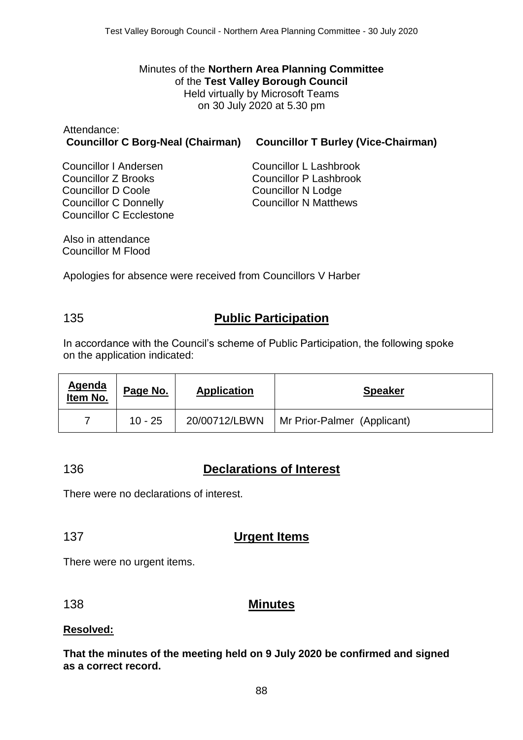Minutes of the **Northern Area Planning Committee** of the **Test Valley Borough Council** Held virtually by Microsoft Teams on 30 July 2020 at 5.30 pm

| Attendance:                                                                  |  |
|------------------------------------------------------------------------------|--|
| <b>Councillor C Borg-Neal (Chairman) Councillor T Burley (Vice-Chairman)</b> |  |

Councillor I Andersen Councillor Z Brooks Councillor D Coole Councillor C Donnelly Councillor C Ecclestone

Councillor L Lashbrook Councillor P Lashbrook Councillor N Lodge Councillor N Matthews

Also in attendance Councillor M Flood

Apologies for absence were received from Councillors V Harber

# 135 **Public Participation**

In accordance with the Council's scheme of Public Participation, the following spoke on the application indicated:

| <u>Agenda</u><br>Item No. | Page No.  | <b>Application</b> | <b>Speaker</b>              |
|---------------------------|-----------|--------------------|-----------------------------|
|                           | $10 - 25$ | 20/00712/LBWN      | Mr Prior-Palmer (Applicant) |

# 136 **Declarations of Interest**

There were no declarations of interest.

## 137 **Urgent Items**

There were no urgent items.

## 138 **Minutes**

#### **Resolved:**

**That the minutes of the meeting held on 9 July 2020 be confirmed and signed as a correct record.**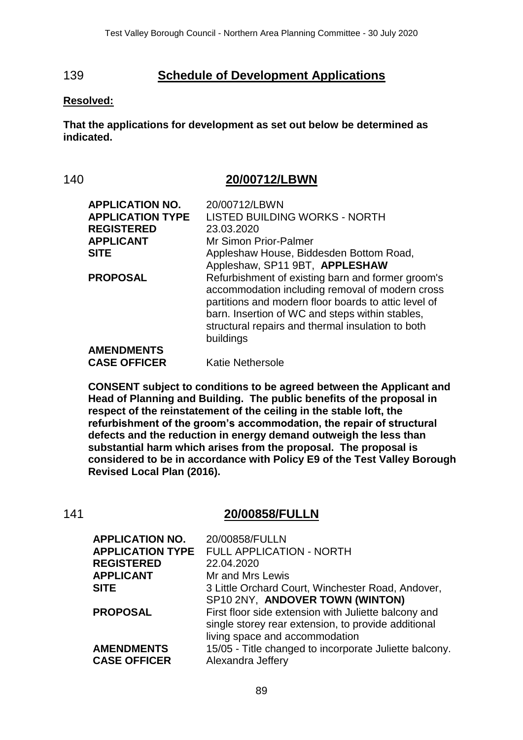## 139 **Schedule of Development Applications**

#### **Resolved:**

**That the applications for development as set out below be determined as indicated.**

#### 140 **20/00712/LBWN**

| <b>APPLICATION NO.</b><br><b>APPLICATION TYPE</b> | 20/00712/LBWN<br><b>LISTED BUILDING WORKS - NORTH</b>                                                                                                                                                                                                                             |
|---------------------------------------------------|-----------------------------------------------------------------------------------------------------------------------------------------------------------------------------------------------------------------------------------------------------------------------------------|
| <b>REGISTERED</b>                                 | 23.03.2020                                                                                                                                                                                                                                                                        |
| <b>APPLICANT</b>                                  | <b>Mr Simon Prior-Palmer</b>                                                                                                                                                                                                                                                      |
| <b>SITE</b>                                       | Appleshaw House, Biddesden Bottom Road,<br>Appleshaw, SP11 9BT, APPLESHAW                                                                                                                                                                                                         |
| <b>PROPOSAL</b>                                   | Refurbishment of existing barn and former groom's<br>accommodation including removal of modern cross<br>partitions and modern floor boards to attic level of<br>barn. Insertion of WC and steps within stables,<br>structural repairs and thermal insulation to both<br>buildings |
| <b>AMENDMENTS</b>                                 |                                                                                                                                                                                                                                                                                   |
| <b>CASE OFFICER</b>                               | <b>Katie Nethersole</b>                                                                                                                                                                                                                                                           |

**CONSENT subject to conditions to be agreed between the Applicant and Head of Planning and Building. The public benefits of the proposal in respect of the reinstatement of the ceiling in the stable loft, the refurbishment of the groom's accommodation, the repair of structural defects and the reduction in energy demand outweigh the less than substantial harm which arises from the proposal. The proposal is considered to be in accordance with Policy E9 of the Test Valley Borough Revised Local Plan (2016).**

# 141 **20/00858/FULLN**

| <b>APPLICATION NO.</b>  | 20/00858/FULLN                                         |
|-------------------------|--------------------------------------------------------|
| <b>APPLICATION TYPE</b> | FULL APPLICATION - NORTH                               |
| <b>REGISTERED</b>       | 22.04.2020                                             |
| <b>APPLICANT</b>        | Mr and Mrs Lewis                                       |
| <b>SITE</b>             | 3 Little Orchard Court, Winchester Road, Andover,      |
|                         | SP10 2NY, ANDOVER TOWN (WINTON)                        |
| <b>PROPOSAL</b>         | First floor side extension with Juliette balcony and   |
|                         | single storey rear extension, to provide additional    |
|                         | living space and accommodation                         |
| <b>AMENDMENTS</b>       | 15/05 - Title changed to incorporate Juliette balcony. |
| <b>CASE OFFICER</b>     | Alexandra Jeffery                                      |
|                         |                                                        |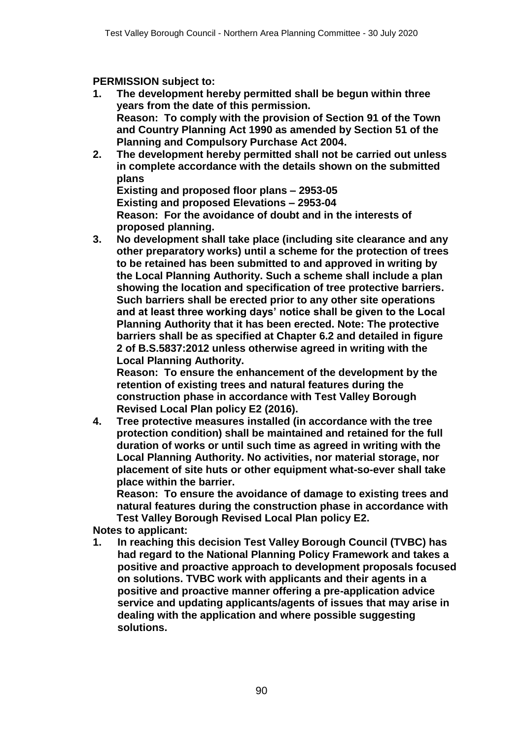#### **PERMISSION subject to:**

- **1. The development hereby permitted shall be begun within three years from the date of this permission. Reason: To comply with the provision of Section 91 of the Town and Country Planning Act 1990 as amended by Section 51 of the Planning and Compulsory Purchase Act 2004.**
- **2. The development hereby permitted shall not be carried out unless in complete accordance with the details shown on the submitted plans**

**Existing and proposed floor plans – 2953-05 Existing and proposed Elevations – 2953-04 Reason: For the avoidance of doubt and in the interests of proposed planning.** 

**3. No development shall take place (including site clearance and any other preparatory works) until a scheme for the protection of trees to be retained has been submitted to and approved in writing by the Local Planning Authority. Such a scheme shall include a plan showing the location and specification of tree protective barriers. Such barriers shall be erected prior to any other site operations and at least three working days' notice shall be given to the Local Planning Authority that it has been erected. Note: The protective barriers shall be as specified at Chapter 6.2 and detailed in figure 2 of B.S.5837:2012 unless otherwise agreed in writing with the Local Planning Authority.**

**Reason: To ensure the enhancement of the development by the retention of existing trees and natural features during the construction phase in accordance with Test Valley Borough Revised Local Plan policy E2 (2016).**

**4. Tree protective measures installed (in accordance with the tree protection condition) shall be maintained and retained for the full duration of works or until such time as agreed in writing with the Local Planning Authority. No activities, nor material storage, nor placement of site huts or other equipment what-so-ever shall take place within the barrier.**

**Reason: To ensure the avoidance of damage to existing trees and natural features during the construction phase in accordance with Test Valley Borough Revised Local Plan policy E2.**

**Notes to applicant:**

**1. In reaching this decision Test Valley Borough Council (TVBC) has had regard to the National Planning Policy Framework and takes a positive and proactive approach to development proposals focused on solutions. TVBC work with applicants and their agents in a positive and proactive manner offering a pre-application advice service and updating applicants/agents of issues that may arise in dealing with the application and where possible suggesting solutions.**